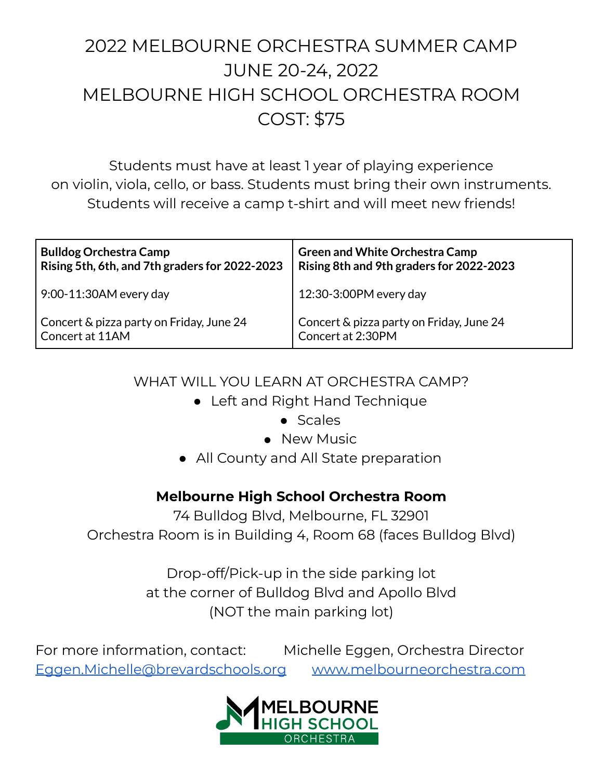# 2022 MELBOURNE ORCHESTRA SUMMER CAMP JUNE 20-24, 2022 MELBOURNE HIGH SCHOOL ORCHESTRA ROOM COST: \$75

Students must have at least 1 year of playing experience on violin, viola, cello, or bass. Students must bring their own instruments. Students will receive a camp t-shirt and will meet new friends!

| <b>Bulldog Orchestra Camp</b>                  | <b>Green and White Orchestra Camp</b>    |
|------------------------------------------------|------------------------------------------|
| Rising 5th, 6th, and 7th graders for 2022-2023 | Rising 8th and 9th graders for 2022-2023 |
| $9:00-11:30AM$ every day                       | 12:30-3:00PM every day                   |
| Concert & pizza party on Friday, June 24       | Concert & pizza party on Friday, June 24 |
| Concert at 11AM                                | Concert at 2:30PM                        |

### WHAT WILL YOU LEARN AT ORCHESTRA CAMP?

- Left and Right Hand Technique
	- Scales
	- New Music
- All County and All State preparation

## **Melbourne High School Orchestra Room**

74 Bulldog Blvd, Melbourne, FL 32901 Orchestra Room is in Building 4, Room 68 (faces Bulldog Blvd)

> Drop-off/Pick-up in the side parking lot at the corner of Bulldog Blvd and Apollo Blvd (NOT the main parking lot)

For more information, contact: Michelle Eggen, Orchestra Director [Eggen.Michelle@brevardschools.org](mailto:Eggen.Michelle@brevardschools.org) [www.melbourneorchestra.com](http://www.melbourneorchestra.com)